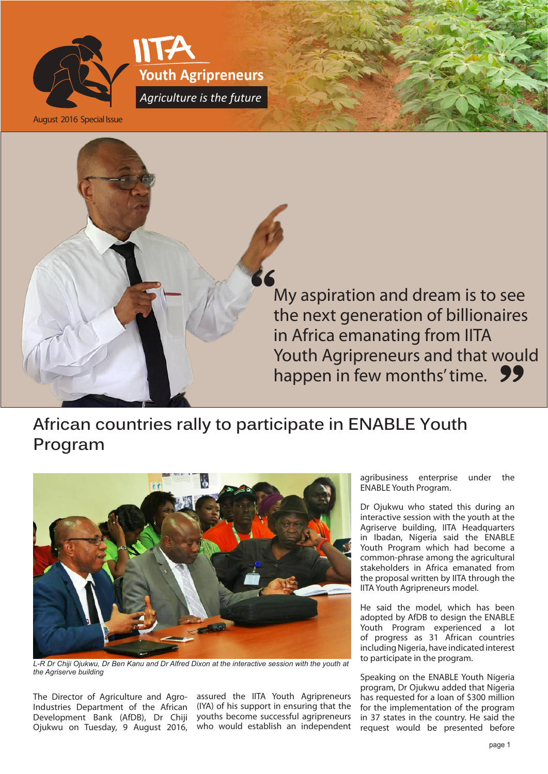

August 2016 Special Issue



**Youth Agripreneurs**

*Agriculture is the future*

My aspiration and dream is to see the next generation of billionaires in Africa emanating from IITA Youth Agripreneurs and that would happen in few months' time. 99

## **African countries rally to participate in ENABLE Youth Program**



L-R Dr Chiji Ojukwu, Dr Ben Kanu and Dr Alfred Dixon at the interactive session with the youth at *the Agriserve building*

The Director of Agriculture and Agro-Industries Department of the African Development Bank (AfDB), Dr Chiji Ojukwu on Tuesday, 9 August 2016,

assured the IITA Youth Agripreneurs (IYA) of his support in ensuring that the youths become successful agripreneurs who would establish an independent agribusiness enterprise under the ENABLE Youth Program.

Dr Ojukwu who stated this during an interactive session with the youth at the Agriserve building, IITA Headquarters in Ibadan, Nigeria said the ENABLE Youth Program which had become a common-phrase among the agricultural stakeholders in Africa emanated from the proposal written by IITA through the IITA Youth Agripreneurs model.

He said the model, which has been adopted by AfDB to design the ENABLE Youth Program experienced a lot of progress as 31 African countries including Nigeria, have indicated interest to participate in the program.

Speaking on the ENABLE Youth Nigeria program, Dr Ojukwu added that Nigeria has requested for a loan of \$300 million for the implementation of the program in 37 states in the country. He said the request would be presented before